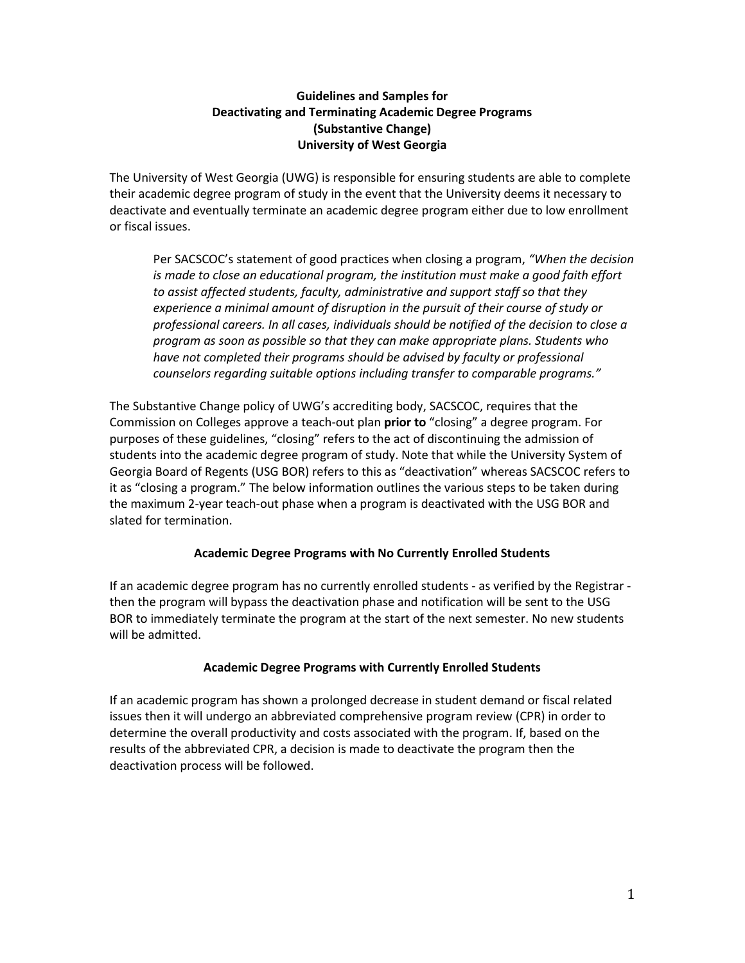# **Guidelines and Samples for Deactivating and Terminating Academic Degree Programs (Substantive Change) University of West Georgia**

The University of West Georgia (UWG) is responsible for ensuring students are able to complete their academic degree program of study in the event that the University deems it necessary to deactivate and eventually terminate an academic degree program either due to low enrollment or fiscal issues.

Per SACSCOC's statement of good practices when closing a program, *"When the decision is made to close an educational program, the institution must make a good faith effort to assist affected students, faculty, administrative and support staff so that they experience a minimal amount of disruption in the pursuit of their course of study or professional careers. In all cases, individuals should be notified of the decision to close a program as soon as possible so that they can make appropriate plans. Students who have not completed their programs should be advised by faculty or professional counselors regarding suitable options including transfer to comparable programs."* 

The Substantive Change policy of UWG's accrediting body, SACSCOC, requires that the Commission on Colleges approve a teach-out plan **prior to** "closing" a degree program. For purposes of these guidelines, "closing" refers to the act of discontinuing the admission of students into the academic degree program of study. Note that while the University System of Georgia Board of Regents (USG BOR) refers to this as "deactivation" whereas SACSCOC refers to it as "closing a program." The below information outlines the various steps to be taken during the maximum 2-year teach-out phase when a program is deactivated with the USG BOR and slated for termination.

## **Academic Degree Programs with No Currently Enrolled Students**

If an academic degree program has no currently enrolled students - as verified by the Registrar then the program will bypass the deactivation phase and notification will be sent to the USG BOR to immediately terminate the program at the start of the next semester. No new students will be admitted.

## **Academic Degree Programs with Currently Enrolled Students**

If an academic program has shown a prolonged decrease in student demand or fiscal related issues then it will undergo an abbreviated comprehensive program review (CPR) in order to determine the overall productivity and costs associated with the program. If, based on the results of the abbreviated CPR, a decision is made to deactivate the program then the deactivation process will be followed.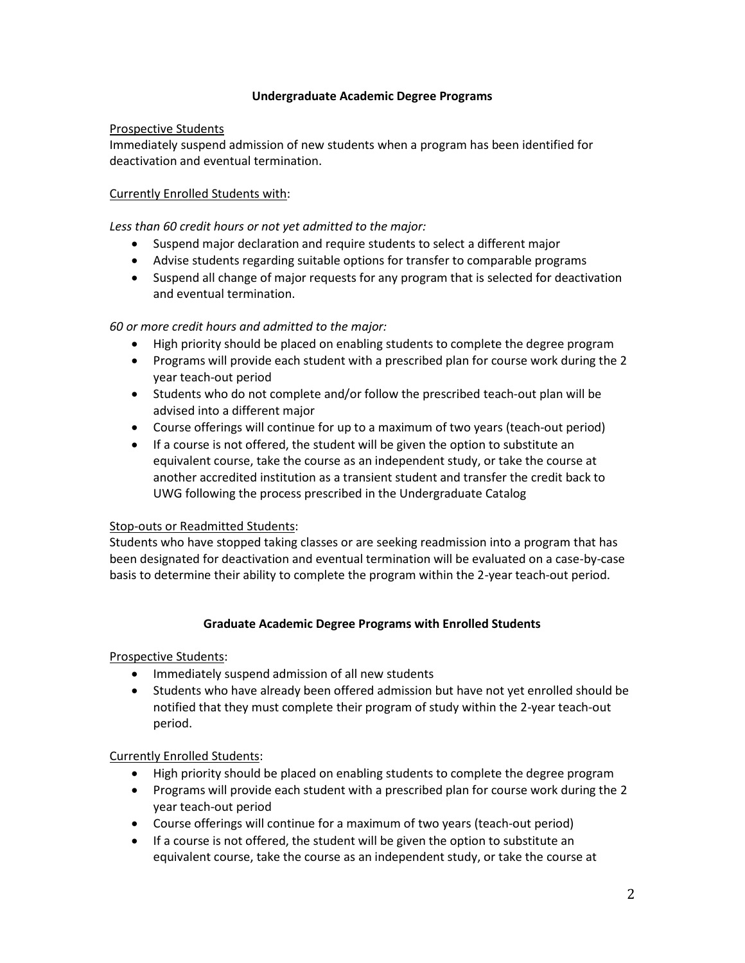## **Undergraduate Academic Degree Programs**

## Prospective Students

Immediately suspend admission of new students when a program has been identified for deactivation and eventual termination.

# Currently Enrolled Students with:

*Less than 60 credit hours or not yet admitted to the major:*

- Suspend major declaration and require students to select a different major
- Advise students regarding suitable options for transfer to comparable programs
- Suspend all change of major requests for any program that is selected for deactivation and eventual termination.

# *60 or more credit hours and admitted to the major:*

- High priority should be placed on enabling students to complete the degree program
- Programs will provide each student with a prescribed plan for course work during the 2 year teach-out period
- Students who do not complete and/or follow the prescribed teach-out plan will be advised into a different major
- Course offerings will continue for up to a maximum of two years (teach-out period)
- If a course is not offered, the student will be given the option to substitute an equivalent course, take the course as an independent study, or take the course at another accredited institution as a transient student and transfer the credit back to UWG following the process prescribed in the Undergraduate Catalog

## Stop-outs or Readmitted Students:

Students who have stopped taking classes or are seeking readmission into a program that has been designated for deactivation and eventual termination will be evaluated on a case-by-case basis to determine their ability to complete the program within the 2-year teach-out period.

## **Graduate Academic Degree Programs with Enrolled Students**

Prospective Students:

- Immediately suspend admission of all new students
- Students who have already been offered admission but have not yet enrolled should be notified that they must complete their program of study within the 2-year teach-out period.

# Currently Enrolled Students:

- High priority should be placed on enabling students to complete the degree program
- Programs will provide each student with a prescribed plan for course work during the 2 year teach-out period
- Course offerings will continue for a maximum of two years (teach-out period)
- If a course is not offered, the student will be given the option to substitute an equivalent course, take the course as an independent study, or take the course at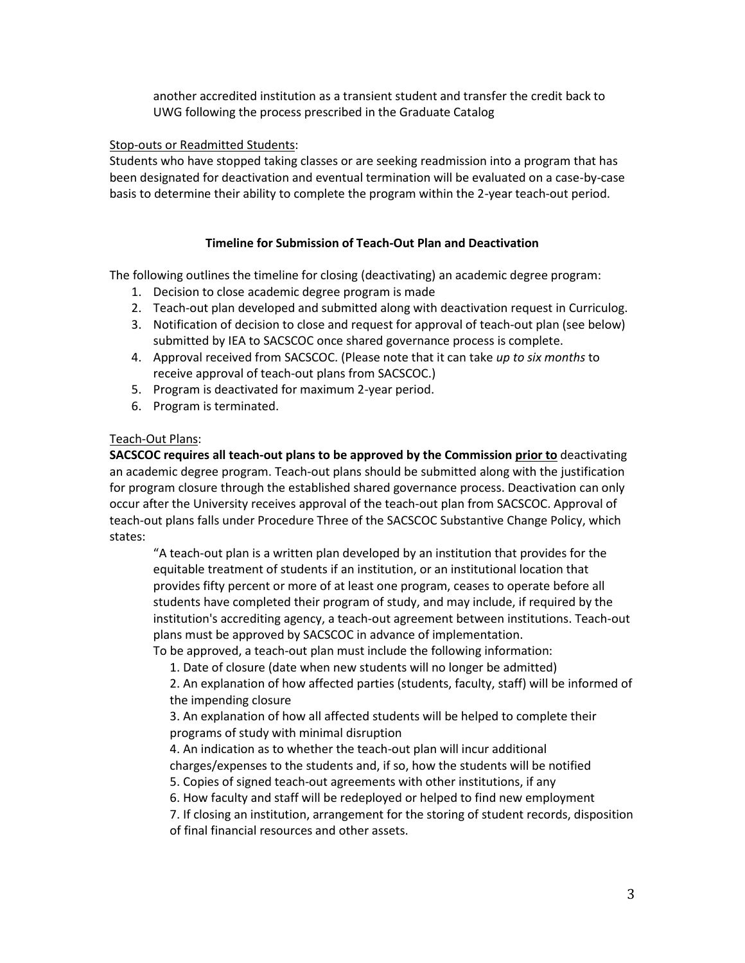another accredited institution as a transient student and transfer the credit back to UWG following the process prescribed in the Graduate Catalog

## Stop-outs or Readmitted Students:

Students who have stopped taking classes or are seeking readmission into a program that has been designated for deactivation and eventual termination will be evaluated on a case-by-case basis to determine their ability to complete the program within the 2-year teach-out period.

# **Timeline for Submission of Teach-Out Plan and Deactivation**

The following outlines the timeline for closing (deactivating) an academic degree program:

- 1. Decision to close academic degree program is made
- 2. Teach-out plan developed and submitted along with deactivation request in Curriculog.
- 3. Notification of decision to close and request for approval of teach-out plan (see below) submitted by IEA to SACSCOC once shared governance process is complete.
- 4. Approval received from SACSCOC. (Please note that it can take *up to six months* to receive approval of teach-out plans from SACSCOC.)
- 5. Program is deactivated for maximum 2-year period.
- 6. Program is terminated.

# Teach-Out Plans:

**SACSCOC requires all teach-out plans to be approved by the Commission prior to** deactivating an academic degree program. Teach-out plans should be submitted along with the justification for program closure through the established shared governance process. Deactivation can only occur after the University receives approval of the teach-out plan from SACSCOC. Approval of teach-out plans falls under Procedure Three of the SACSCOC Substantive Change Policy, which states:

"A teach-out plan is a written plan developed by an institution that provides for the equitable treatment of students if an institution, or an institutional location that provides fifty percent or more of at least one program, ceases to operate before all students have completed their program of study, and may include, if required by the institution's accrediting agency, a teach-out agreement between institutions. Teach-out plans must be approved by SACSCOC in advance of implementation.

To be approved, a teach-out plan must include the following information:

1. Date of closure (date when new students will no longer be admitted)

2. An explanation of how affected parties (students, faculty, staff) will be informed of the impending closure

3. An explanation of how all affected students will be helped to complete their programs of study with minimal disruption

4. An indication as to whether the teach-out plan will incur additional charges/expenses to the students and, if so, how the students will be notified

- 5. Copies of signed teach-out agreements with other institutions, if any
- 6. How faculty and staff will be redeployed or helped to find new employment
- 7. If closing an institution, arrangement for the storing of student records, disposition of final financial resources and other assets.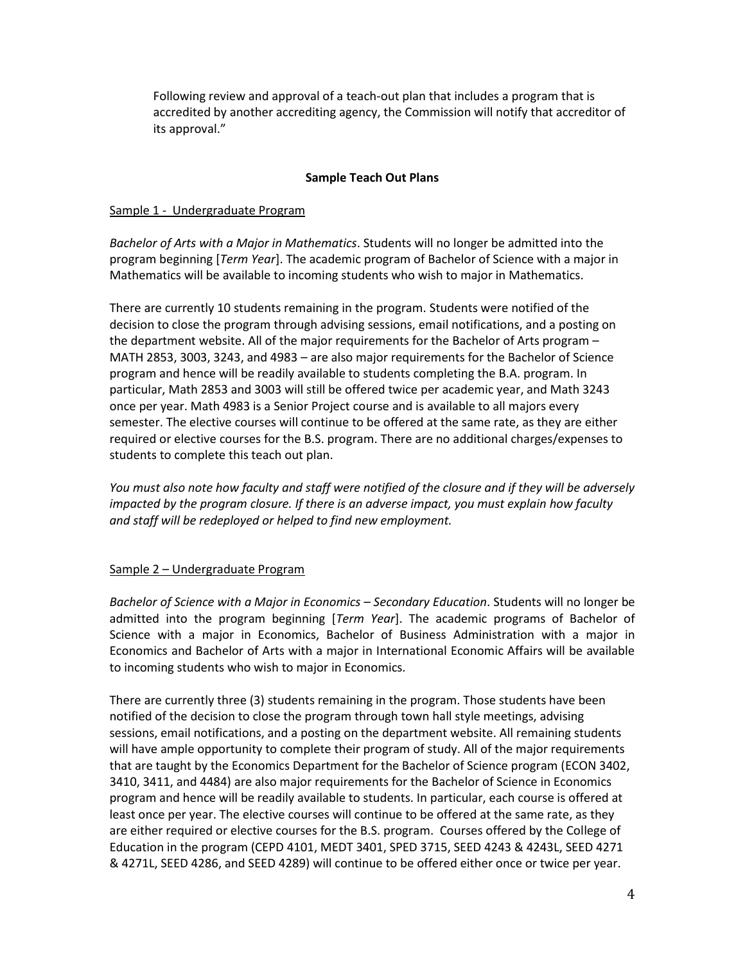Following review and approval of a teach-out plan that includes a program that is accredited by another accrediting agency, the Commission will notify that accreditor of its approval."

## **Sample Teach Out Plans**

## Sample 1 - Undergraduate Program

*Bachelor of Arts with a Major in Mathematics*. Students will no longer be admitted into the program beginning [*Term Year*]. The academic program of Bachelor of Science with a major in Mathematics will be available to incoming students who wish to major in Mathematics.

There are currently 10 students remaining in the program. Students were notified of the decision to close the program through advising sessions, email notifications, and a posting on the department website. All of the major requirements for the Bachelor of Arts program – MATH 2853, 3003, 3243, and 4983 – are also major requirements for the Bachelor of Science program and hence will be readily available to students completing the B.A. program. In particular, Math 2853 and 3003 will still be offered twice per academic year, and Math 3243 once per year. Math 4983 is a Senior Project course and is available to all majors every semester. The elective courses will continue to be offered at the same rate, as they are either required or elective courses for the B.S. program. There are no additional charges/expenses to students to complete this teach out plan.

*You must also note how faculty and staff were notified of the closure and if they will be adversely impacted by the program closure. If there is an adverse impact, you must explain how faculty and staff will be redeployed or helped to find new employment.*

# Sample 2 – Undergraduate Program

*Bachelor of Science with a Major in Economics – Secondary Education*. Students will no longer be admitted into the program beginning [*Term Year*]. The academic programs of Bachelor of Science with a major in Economics, Bachelor of Business Administration with a major in Economics and Bachelor of Arts with a major in International Economic Affairs will be available to incoming students who wish to major in Economics.

There are currently three (3) students remaining in the program. Those students have been notified of the decision to close the program through town hall style meetings, advising sessions, email notifications, and a posting on the department website. All remaining students will have ample opportunity to complete their program of study. All of the major requirements that are taught by the Economics Department for the Bachelor of Science program (ECON 3402, 3410, 3411, and 4484) are also major requirements for the Bachelor of Science in Economics program and hence will be readily available to students. In particular, each course is offered at least once per year. The elective courses will continue to be offered at the same rate, as they are either required or elective courses for the B.S. program. Courses offered by the College of Education in the program (CEPD 4101, MEDT 3401, SPED 3715, SEED 4243 & 4243L, SEED 4271 & 4271L, SEED 4286, and SEED 4289) will continue to be offered either once or twice per year.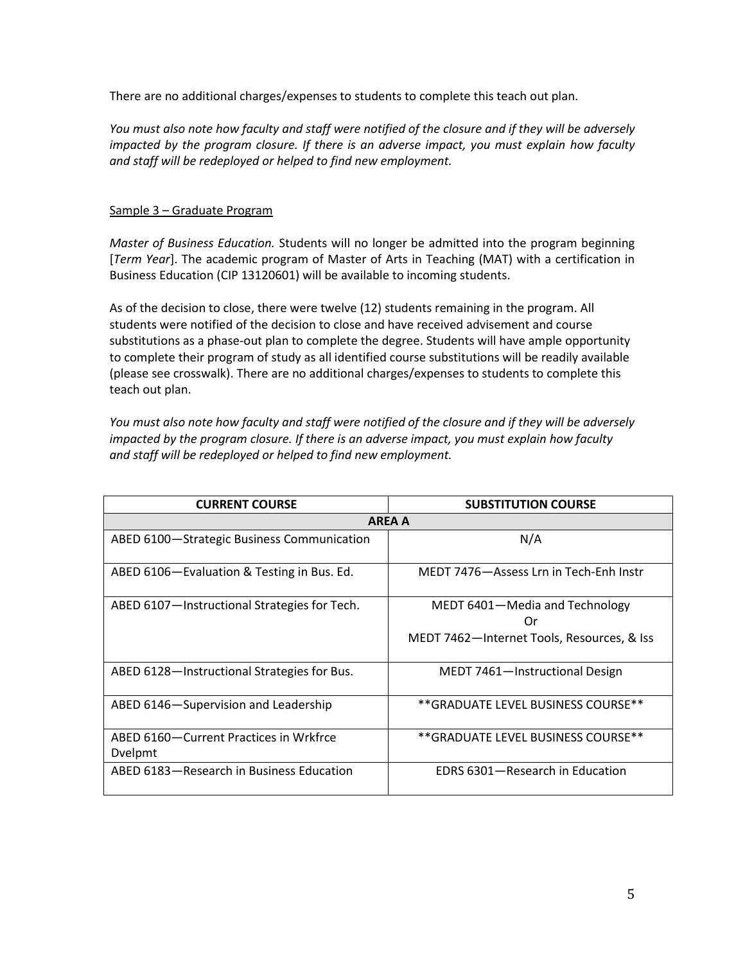There are no additional charges/expenses to students to complete this teach out plan.

*You must also note how faculty and staff were notified of the closure and if they will be adversely impacted by the program closure. If there is an adverse impact, you must explain how faculty and staff will be redeployed or helped to find new employment.*

# Sample 3 – Graduate Program

*Master of Business Education.* Students will no longer be admitted into the program beginning [*Term Year*]. The academic program of Master of Arts in Teaching (MAT) with a certification in Business Education (CIP 13120601) will be available to incoming students.

As of the decision to close, there were twelve (12) students remaining in the program. All students were notified of the decision to close and have received advisement and course substitutions as a phase-out plan to complete the degree. Students will have ample opportunity to complete their program of study as all identified course substitutions will be readily available (please see crosswalk). There are no additional charges/expenses to students to complete this teach out plan.

*You must also note how faculty and staff were notified of the closure and if they will be adversely impacted by the program closure. If there is an adverse impact, you must explain how faculty and staff will be redeployed or helped to find new employment.*

| <b>CURRENT COURSE</b>                             | <b>SUBSTITUTION COURSE</b>                                                         |
|---------------------------------------------------|------------------------------------------------------------------------------------|
| <b>AREA A</b>                                     |                                                                                    |
| ABED 6100-Strategic Business Communication        | N/A                                                                                |
| ABED 6106-Evaluation & Testing in Bus. Ed.        | MEDT 7476-Assess Lrn in Tech-Enh Instr                                             |
| ABED 6107-Instructional Strategies for Tech.      | MEDT 6401-Media and Technology<br>Or<br>MEDT 7462-Internet Tools, Resources, & Iss |
| ABED 6128-Instructional Strategies for Bus.       | MEDT 7461-Instructional Design                                                     |
| ABED 6146-Supervision and Leadership              | **GRADUATE LEVEL BUSINESS COURSE**                                                 |
| ABED 6160-Current Practices in Wrkfrce<br>Dvelpmt | **GRADUATE LEVEL BUSINESS COURSE**                                                 |
| ABED 6183-Research in Business Education          | EDRS 6301-Research in Education                                                    |